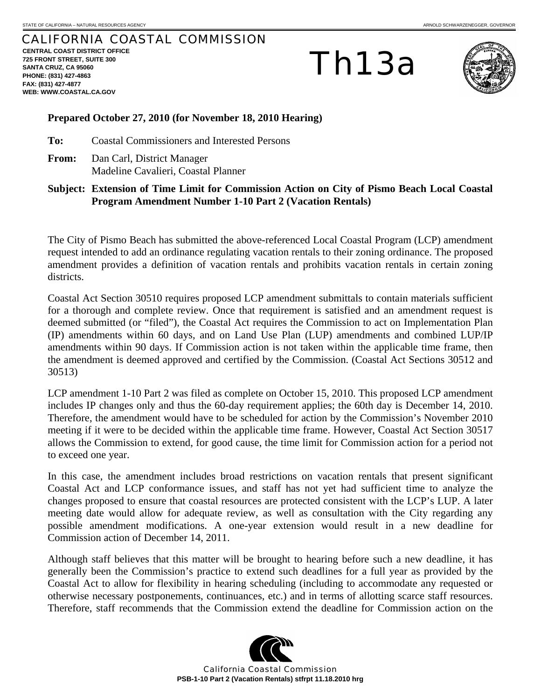## CALIFORNIA COASTAL COMMISSION

**CENTRAL COAST DISTRICT OFFICE 725 FRONT STREET, SUITE 300 SANTA CRUZ, CA 95060 PHONE: (831) 427-4863 FAX: (831) 427-4877 WEB: WWW.COASTAL.CA.GOV**

Th13a



## **Prepared October 27, 2010 (for November 18, 2010 Hearing)**

**To:** Coastal Commissioners and Interested Persons

**From:** Dan Carl, District Manager Madeline Cavalieri, Coastal Planner

**Subject: Extension of Time Limit for Commission Action on City of Pismo Beach Local Coastal Program Amendment Number 1-10 Part 2 (Vacation Rentals)** 

The City of Pismo Beach has submitted the above-referenced Local Coastal Program (LCP) amendment request intended to add an ordinance regulating vacation rentals to their zoning ordinance. The proposed amendment provides a definition of vacation rentals and prohibits vacation rentals in certain zoning districts.

Coastal Act Section 30510 requires proposed LCP amendment submittals to contain materials sufficient for a thorough and complete review. Once that requirement is satisfied and an amendment request is deemed submitted (or "filed"), the Coastal Act requires the Commission to act on Implementation Plan (IP) amendments within 60 days, and on Land Use Plan (LUP) amendments and combined LUP/IP amendments within 90 days. If Commission action is not taken within the applicable time frame, then the amendment is deemed approved and certified by the Commission. (Coastal Act Sections 30512 and 30513)

LCP amendment 1-10 Part 2 was filed as complete on October 15, 2010. This proposed LCP amendment includes IP changes only and thus the 60-day requirement applies; the 60th day is December 14, 2010. Therefore, the amendment would have to be scheduled for action by the Commission's November 2010 meeting if it were to be decided within the applicable time frame. However, Coastal Act Section 30517 allows the Commission to extend, for good cause, the time limit for Commission action for a period not to exceed one year.

In this case, the amendment includes broad restrictions on vacation rentals that present significant Coastal Act and LCP conformance issues, and staff has not yet had sufficient time to analyze the changes proposed to ensure that coastal resources are protected consistent with the LCP's LUP. A later meeting date would allow for adequate review, as well as consultation with the City regarding any possible amendment modifications. A one-year extension would result in a new deadline for Commission action of December 14, 2011.

Although staff believes that this matter will be brought to hearing before such a new deadline, it has generally been the Commission's practice to extend such deadlines for a full year as provided by the Coastal Act to allow for flexibility in hearing scheduling (including to accommodate any requested or otherwise necessary postponements, continuances, etc.) and in terms of allotting scarce staff resources. Therefore, staff recommends that the Commission extend the deadline for Commission action on the